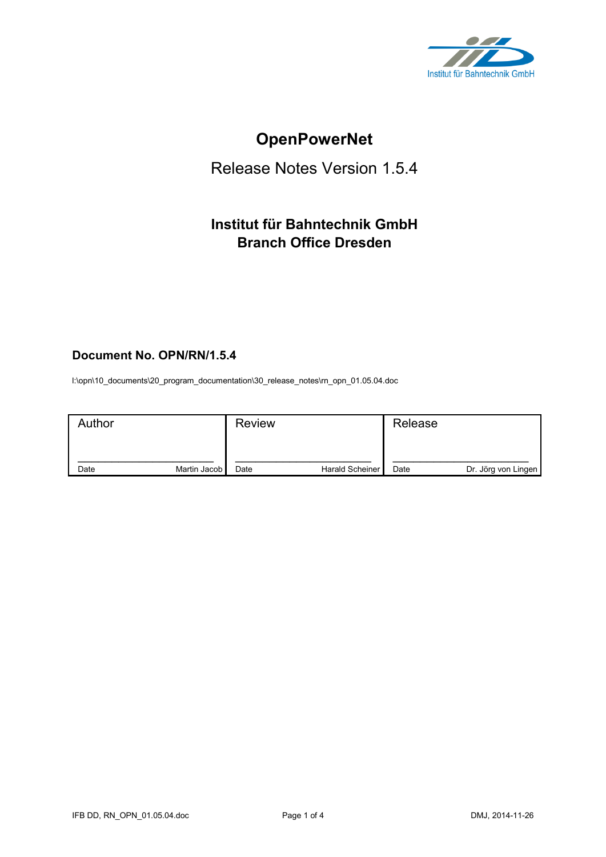

# **OpenPowerNet**

## Release Notes Version 1.5.4

## **Institut für Bahntechnik GmbH Branch Office Dresden**

## **Document No. OPN/RN/1.5.4**

l:\opn\10\_documents\20\_program\_documentation\30\_release\_notes\rn\_opn\_01.05.04.doc

| Author |                | <b>Review</b> |                 | Release |                     |
|--------|----------------|---------------|-----------------|---------|---------------------|
| Date   | Martin Jacob I | Date          | Harald Scheiner | Date    | Dr. Jörg von Lingen |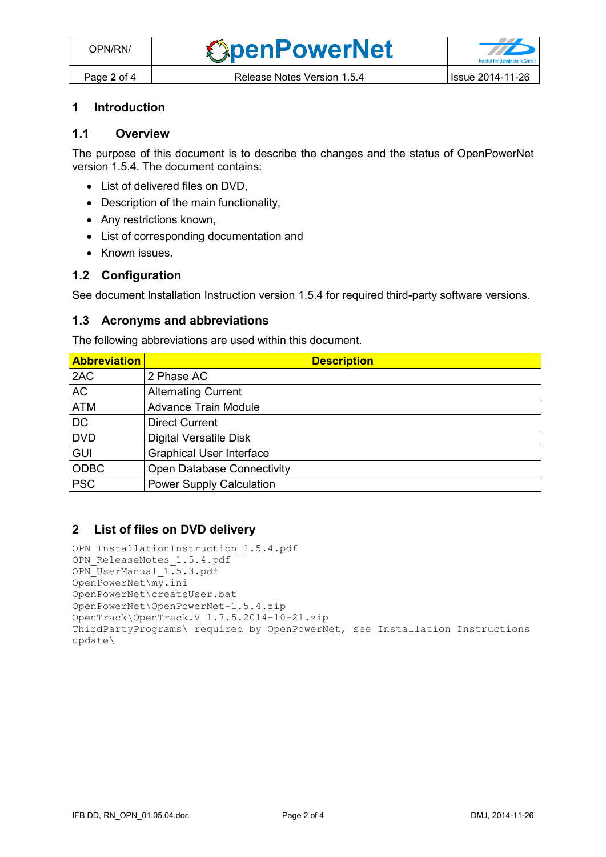#### **1 Introduction**

## **1.1 Overview**

The purpose of this document is to describe the changes and the status of OpenPowerNet version 1.5.4. The document contains:

- List of delivered files on DVD.
- Description of the main functionality,
- Any restrictions known,
- List of corresponding documentation and
- Known issues.

#### **1.2 Configuration**

See document Installation Instruction version 1.5.4 for required third-party software versions.

#### **1.3 Acronyms and abbreviations**

The following abbreviations are used within this document.

| <b>Abbreviation</b> | <b>Description</b>                |
|---------------------|-----------------------------------|
| 2AC                 | 2 Phase AC                        |
| <b>AC</b>           | <b>Alternating Current</b>        |
| <b>ATM</b>          | <b>Advance Train Module</b>       |
| <b>DC</b>           | <b>Direct Current</b>             |
| <b>DVD</b>          | <b>Digital Versatile Disk</b>     |
| <b>GUI</b>          | <b>Graphical User Interface</b>   |
| <b>ODBC</b>         | <b>Open Database Connectivity</b> |
| <b>PSC</b>          | <b>Power Supply Calculation</b>   |

#### **2 List of files on DVD delivery**

```
OPN InstallationInstruction 1.5.4.pdf
OPN_ReleaseNotes_1.5.4.pdf
OPN_UserManual_1.5.3.pdf
OpenPowerNet\my.ini
OpenPowerNet\createUser.bat
OpenPowerNet\OpenPowerNet-1.5.4.zip
OpenTrack\OpenTrack.V_1.7.5.2014-10-21.zip
ThirdPartyPrograms\ required by OpenPowerNet, see Installation Instructions
update\
```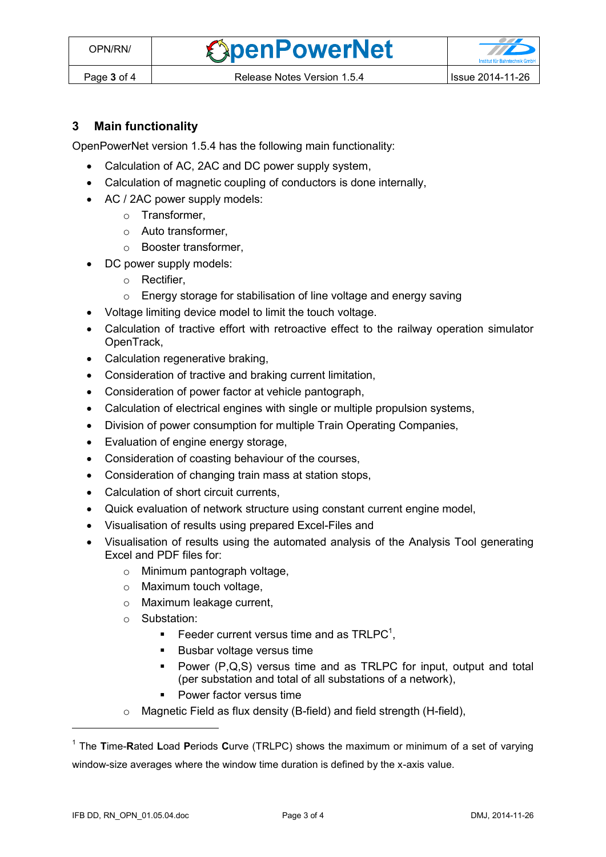**OpenPowerNet** 

## **3 Main functionality**

OpenPowerNet version 1.5.4 has the following main functionality:

- Calculation of AC, 2AC and DC power supply system,
- Calculation of magnetic coupling of conductors is done internally,
- AC / 2AC power supply models:
	- o Transformer,
	- o Auto transformer,
	- o Booster transformer,
- DC power supply models:
	- o Rectifier,
	- o Energy storage for stabilisation of line voltage and energy saving
- Voltage limiting device model to limit the touch voltage.
- Calculation of tractive effort with retroactive effect to the railway operation simulator OpenTrack,
- Calculation regenerative braking,
- Consideration of tractive and braking current limitation,
- Consideration of power factor at vehicle pantograph,
- Calculation of electrical engines with single or multiple propulsion systems,
- Division of power consumption for multiple Train Operating Companies,
- Evaluation of engine energy storage,
- Consideration of coasting behaviour of the courses,
- Consideration of changing train mass at station stops,
- Calculation of short circuit currents,
- Quick evaluation of network structure using constant current engine model,
- Visualisation of results using prepared Excel-Files and
- <span id="page-2-0"></span> Visualisation of results using the automated analysis of the Analysis Tool generating Excel and PDF files for:
	- o Minimum pantograph voltage,
	- o Maximum touch voltage,
	- o Maximum leakage current,
	- o Substation:
		- Feeder current versus time and as  $TRLPC<sup>1</sup>$ ,
		- **Busbar voltage versus time**
		- Power (P,Q,S) versus time and as TRLPC for input, output and total (per substation and total of all substations of a network),
		- **•** Power factor versus time
	- o Magnetic Field as flux density (B-field) and field strength (H-field),

 $\overline{a}$ 

<sup>1</sup> The **T**ime-**R**ated **L**oad **P**eriods **C**urve (TRLPC) shows the maximum or minimum of a set of varying window-size averages where the window time duration is defined by the x-axis value.